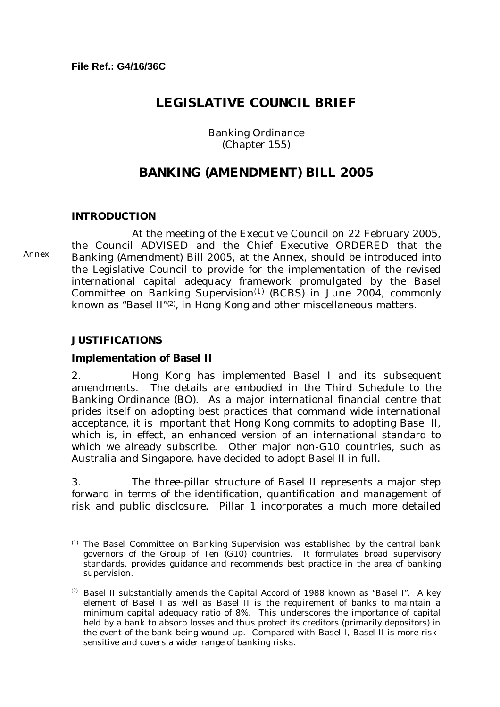# **LEGISLATIVE COUNCIL BRIEF**

Banking Ordinance (Chapter 155)

# **BANKING (AMENDMENT) BILL 2005**

## **INTRODUCTION**

 At the meeting of the Executive Council on 22 February 2005, the Council ADVISED and the Chief Executive ORDERED that the Banking (Amendment) Bill 2005, at the Annex, should be introduced into the Legislative Council to provide for the implementation of the revised international capital adequacy framework promulgated by the Basel Committee on Banking Supervision<sup> $(1)$ </sup> (BCBS) in June 2004, commonly known as "Basel II"<sup>(2)</sup>, in Hong Kong and other miscellaneous matters.

#### **JUSTIFICATIONS**

 $\overline{a}$ 

#### **Implementation of Basel II**

2. Hong Kong has implemented Basel I and its subsequent amendments. The details are embodied in the Third Schedule to the Banking Ordinance (BO). As a major international financial centre that prides itself on adopting best practices that command wide international acceptance, it is important that Hong Kong commits to adopting Basel II, which is, in effect, an enhanced version of an international standard to which we already subscribe. Other major non-G10 countries, such as Australia and Singapore, have decided to adopt Basel II in full.

3. The three-pillar structure of Basel II represents a major step forward in terms of the identification, quantification and management of risk and public disclosure. Pillar 1 incorporates a much more detailed

Annex

<sup>(1)</sup> The Basel Committee on Banking Supervision was established by the central bank governors of the Group of Ten (G10) countries. It formulates broad supervisory standards, provides guidance and recommends best practice in the area of banking supervision.

 $(2)$  Basel II substantially amends the Capital Accord of 1988 known as "Basel I". A key element of Basel I as well as Basel II is the requirement of banks to maintain a minimum capital adequacy ratio of 8%. This underscores the importance of capital held by a bank to absorb losses and thus protect its creditors (primarily depositors) in the event of the bank being wound up. Compared with Basel I, Basel II is more risksensitive and covers a wider range of banking risks.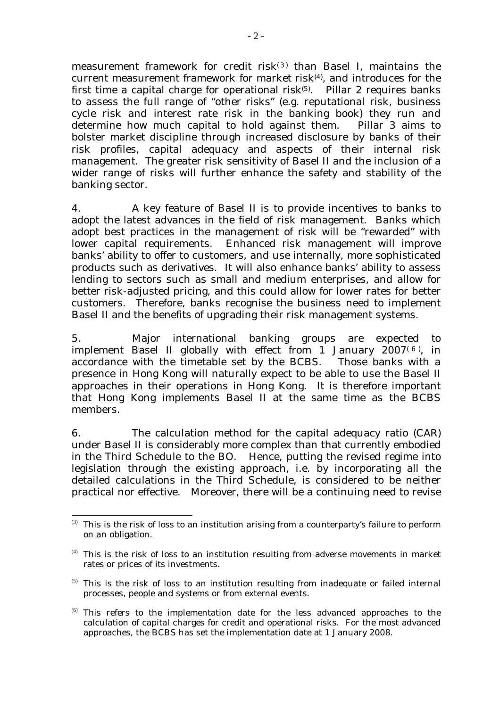measurement framework for credit risk(3) than Basel I, maintains the current measurement framework for market risk<sup>(4)</sup>, and introduces for the first time a capital charge for operational risk $(5)$ . Pillar 2 requires banks to assess the full range of "other risks" (e.g. reputational risk, business cycle risk and interest rate risk in the banking book) they run and determine how much capital to hold against them. Pillar 3 aims to bolster market discipline through increased disclosure by banks of their risk profiles, capital adequacy and aspects of their internal risk management. The greater risk sensitivity of Basel II and the inclusion of a wider range of risks will further enhance the safety and stability of the banking sector.

4. A key feature of Basel II is to provide incentives to banks to adopt the latest advances in the field of risk management. Banks which adopt best practices in the management of risk will be "rewarded" with lower capital requirements. Enhanced risk management will improve banks' ability to offer to customers, and use internally, more sophisticated products such as derivatives. It will also enhance banks' ability to assess lending to sectors such as small and medium enterprises, and allow for better risk-adjusted pricing, and this could allow for lower rates for better customers. Therefore, banks recognise the business need to implement Basel II and the benefits of upgrading their risk management systems.

5. Major international banking groups are expected to implement Basel II globally with effect from 1 January  $2007<sup>(6)</sup>$ , in accordance with the timetable set by the BCBS. Those banks with a presence in Hong Kong will naturally expect to be able to use the Basel II approaches in their operations in Hong Kong. It is therefore important that Hong Kong implements Basel II at the same time as the BCBS members.

6. The calculation method for the capital adequacy ratio (CAR) under Basel II is considerably more complex than that currently embodied in the Third Schedule to the BO. Hence, putting the revised regime into legislation through the existing approach, i.e. by incorporating all the detailed calculations in the Third Schedule, is considered to be neither practical nor effective. Moreover, there will be a continuing need to revise

 $\overline{a}$  $(3)$  This is the risk of loss to an institution arising from a counterparty's failure to perform on an obligation.

 $<sup>(4)</sup>$  This is the risk of loss to an institution resulting from adverse movements in market</sup> rates or prices of its investments.

 $(5)$  This is the risk of loss to an institution resulting from inadequate or failed internal processes, people and systems or from external events.

 $<sup>(6)</sup>$  This refers to the implementation date for the less advanced approaches to the</sup> calculation of capital charges for credit and operational risks. For the most advanced approaches, the BCBS has set the implementation date at 1 January 2008.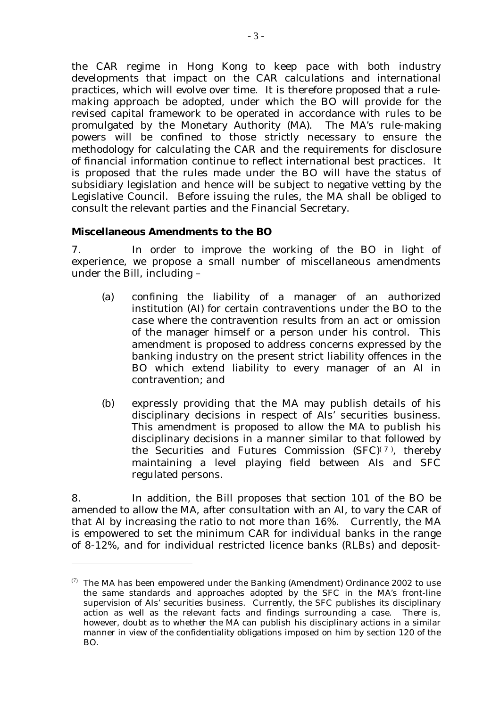the CAR regime in Hong Kong to keep pace with both industry developments that impact on the CAR calculations and international practices, which will evolve over time. It is therefore proposed that a rulemaking approach be adopted, under which the BO will provide for the revised capital framework to be operated in accordance with rules to be promulgated by the Monetary Authority (MA). The MA's rule-making powers will be confined to those strictly necessary to ensure the methodology for calculating the CAR and the requirements for disclosure of financial information continue to reflect international best practices. It is proposed that the rules made under the BO will have the status of subsidiary legislation and hence will be subject to negative vetting by the Legislative Council. Before issuing the rules, the MA shall be obliged to consult the relevant parties and the Financial Secretary.

# **Miscellaneous Amendments to the BO**

 $\overline{a}$ 

7. In order to improve the working of the BO in light of experience, we propose a small number of miscellaneous amendments under the Bill, including –

- (a) confining the liability of a manager of an authorized institution (AI) for certain contraventions under the BO to the case where the contravention results from an act or omission of the manager himself or a person under his control. This amendment is proposed to address concerns expressed by the banking industry on the present strict liability offences in the BO which extend liability to every manager of an AI in contravention; and
- (b) expressly providing that the MA may publish details of his disciplinary decisions in respect of AIs' securities business. This amendment is proposed to allow the MA to publish his disciplinary decisions in a manner similar to that followed by the Securities and Futures Commission  $(SFC)^{(7)}$ , thereby maintaining a level playing field between AIs and SFC regulated persons.

8. In addition, the Bill proposes that section 101 of the BO be amended to allow the MA, after consultation with an AI, to vary the CAR of that AI by increasing the ratio to not more than 16%. Currently, the MA is empowered to set the minimum CAR for individual banks in the range of 8-12%, and for individual restricted licence banks (RLBs) and deposit-

<sup>(7)</sup> The MA has been empowered under the Banking (Amendment) Ordinance 2002 to use the same standards and approaches adopted by the SFC in the MA's front-line supervision of AIs' securities business. Currently, the SFC publishes its disciplinary action as well as the relevant facts and findings surrounding a case. There is, however, doubt as to whether the MA can publish his disciplinary actions in a similar manner in view of the confidentiality obligations imposed on him by section 120 of the BO.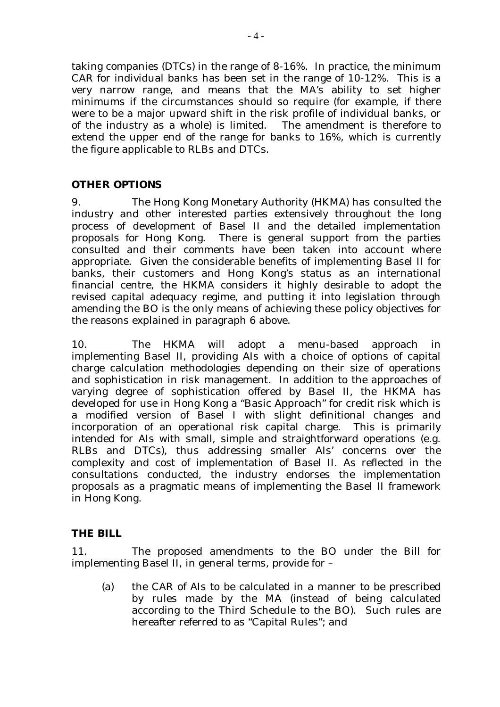taking companies (DTCs) in the range of 8-16%. In practice, the minimum CAR for individual banks has been set in the range of 10-12%. This is a very narrow range, and means that the MA's ability to set higher minimums if the circumstances should so require (for example, if there were to be a major upward shift in the risk profile of individual banks, or of the industry as a whole) is limited. The amendment is therefore to extend the upper end of the range for banks to 16%, which is currently the figure applicable to RLBs and DTCs.

# **OTHER OPTIONS**

9. The Hong Kong Monetary Authority (HKMA) has consulted the industry and other interested parties extensively throughout the long process of development of Basel II and the detailed implementation proposals for Hong Kong. There is general support from the parties consulted and their comments have been taken into account where appropriate. Given the considerable benefits of implementing Basel II for banks, their customers and Hong Kong's status as an international financial centre, the HKMA considers it highly desirable to adopt the revised capital adequacy regime, and putting it into legislation through amending the BO is the only means of achieving these policy objectives for the reasons explained in paragraph 6 above.

10. The HKMA will adopt a menu-based approach in implementing Basel II, providing AIs with a choice of options of capital charge calculation methodologies depending on their size of operations and sophistication in risk management. In addition to the approaches of varying degree of sophistication offered by Basel II, the HKMA has developed for use in Hong Kong a "Basic Approach" for credit risk which is a modified version of Basel I with slight definitional changes and incorporation of an operational risk capital charge. This is primarily intended for AIs with small, simple and straightforward operations (e.g. RLBs and DTCs), thus addressing smaller AIs' concerns over the complexity and cost of implementation of Basel II. As reflected in the consultations conducted, the industry endorses the implementation proposals as a pragmatic means of implementing the Basel II framework in Hong Kong.

## **THE BILL**

11. The proposed amendments to the BO under the Bill for implementing Basel II, in general terms, provide for –

(a) the CAR of AIs to be calculated in a manner to be prescribed by rules made by the MA (instead of being calculated according to the Third Schedule to the BO). Such rules are hereafter referred to as "Capital Rules"; and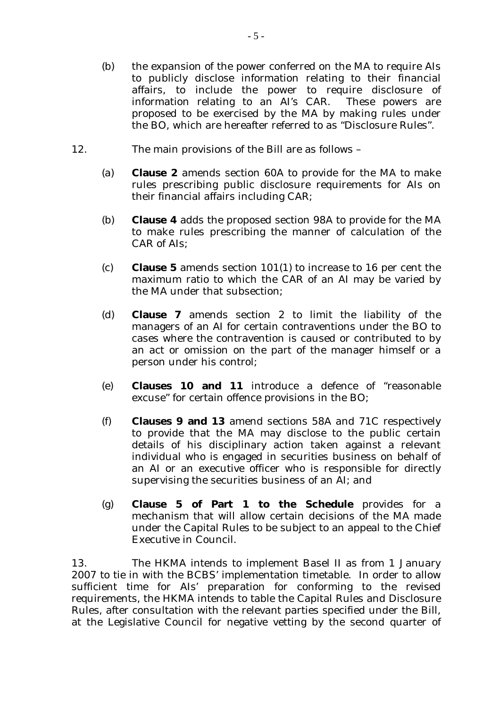- (b) the expansion of the power conferred on the MA to require AIs to publicly disclose information relating to their financial affairs, to include the power to require disclosure of information relating to an AI's CAR. These powers are proposed to be exercised by the MA by making rules under the BO, which are hereafter referred to as "Disclosure Rules".
- 12. The main provisions of the Bill are as follows
	- (a) **Clause 2** amends section 60A to provide for the MA to make rules prescribing public disclosure requirements for AIs on their financial affairs including CAR;
	- (b) **Clause 4** adds the proposed section 98A to provide for the MA to make rules prescribing the manner of calculation of the CAR of AIs;
	- (c) **Clause 5** amends section 101(1) to increase to 16 per cent the maximum ratio to which the CAR of an AI may be varied by the MA under that subsection;
	- (d) **Clause 7** amends section 2 to limit the liability of the managers of an AI for certain contraventions under the BO to cases where the contravention is caused or contributed to by an act or omission on the part of the manager himself or a person under his control;
	- (e) **Clauses 10 and 11** introduce a defence of "reasonable excuse" for certain offence provisions in the BO;
	- (f) **Clauses 9 and 13** amend sections 58A and 71C respectively to provide that the MA may disclose to the public certain details of his disciplinary action taken against a relevant individual who is engaged in securities business on behalf of an AI or an executive officer who is responsible for directly supervising the securities business of an AI; and
	- (g) **Clause 5 of Part 1 to the Schedule** provides for a mechanism that will allow certain decisions of the MA made under the Capital Rules to be subject to an appeal to the Chief Executive in Council.

13. The HKMA intends to implement Basel II as from 1 January 2007 to tie in with the BCBS' implementation timetable. In order to allow sufficient time for AIs' preparation for conforming to the revised requirements, the HKMA intends to table the Capital Rules and Disclosure Rules, after consultation with the relevant parties specified under the Bill, at the Legislative Council for negative vetting by the second quarter of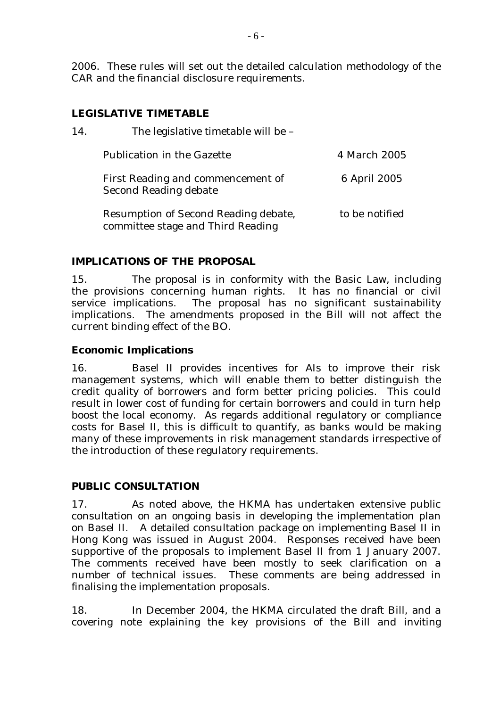2006. These rules will set out the detailed calculation methodology of the CAR and the financial disclosure requirements.

# **LEGISLATIVE TIMETABLE**

| 14. | The legislative timetable will be -                                       |                |  |
|-----|---------------------------------------------------------------------------|----------------|--|
|     | <b>Publication in the Gazette</b>                                         | 4 March 2005   |  |
|     | First Reading and commencement of<br><b>Second Reading debate</b>         | 6 April 2005   |  |
|     | Resumption of Second Reading debate,<br>committee stage and Third Reading | to be notified |  |

# **IMPLICATIONS OF THE PROPOSAL**

15. The proposal is in conformity with the Basic Law, including the provisions concerning human rights. It has no financial or civil service implications. The proposal has no significant sustainability implications. The amendments proposed in the Bill will not affect the current binding effect of the BO.

## **Economic Implications**

16. Basel II provides incentives for AIs to improve their risk management systems, which will enable them to better distinguish the credit quality of borrowers and form better pricing policies. This could result in lower cost of funding for certain borrowers and could in turn help boost the local economy. As regards additional regulatory or compliance costs for Basel II, this is difficult to quantify, as banks would be making many of these improvements in risk management standards irrespective of the introduction of these regulatory requirements.

# **PUBLIC CONSULTATION**

17. As noted above, the HKMA has undertaken extensive public consultation on an ongoing basis in developing the implementation plan on Basel II. A detailed consultation package on implementing Basel II in Hong Kong was issued in August 2004. Responses received have been supportive of the proposals to implement Basel II from 1 January 2007. The comments received have been mostly to seek clarification on a number of technical issues. These comments are being addressed in finalising the implementation proposals.

18. In December 2004, the HKMA circulated the draft Bill, and a covering note explaining the key provisions of the Bill and inviting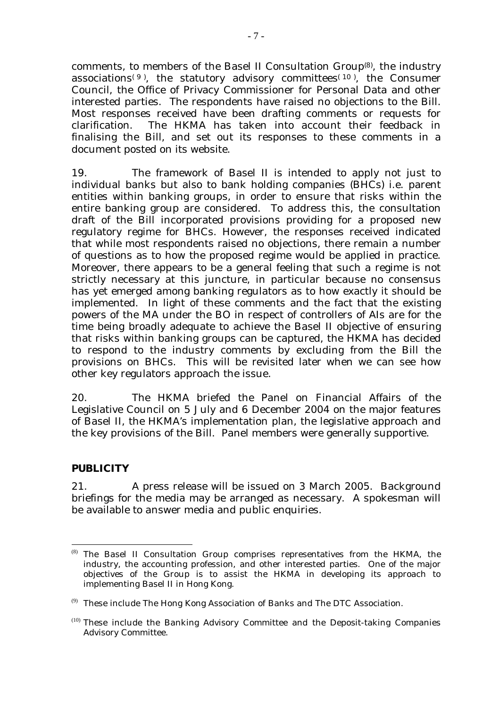comments, to members of the Basel II Consultation Group<sup>(8)</sup>, the industry associations<sup>(9)</sup>, the statutory advisory committees<sup>(10)</sup>, the Consumer Council, the Office of Privacy Commissioner for Personal Data and other interested parties. The respondents have raised no objections to the Bill. Most responses received have been drafting comments or requests for clarification. The HKMA has taken into account their feedback in finalising the Bill, and set out its responses to these comments in a document posted on its website.

19. The framework of Basel II is intended to apply not just to individual banks but also to bank holding companies (BHCs) i.e. parent entities within banking groups, in order to ensure that risks within the entire banking group are considered. To address this, the consultation draft of the Bill incorporated provisions providing for a proposed new regulatory regime for BHCs. However, the responses received indicated that while most respondents raised no objections, there remain a number of questions as to how the proposed regime would be applied in practice. Moreover, there appears to be a general feeling that such a regime is not strictly necessary at this juncture, in particular because no consensus has yet emerged among banking regulators as to how exactly it should be implemented. In light of these comments and the fact that the existing powers of the MA under the BO in respect of controllers of AIs are for the time being broadly adequate to achieve the Basel II objective of ensuring that risks within banking groups can be captured, the HKMA has decided to respond to the industry comments by excluding from the Bill the provisions on BHCs. This will be revisited later when we can see how other key regulators approach the issue.

20. The HKMA briefed the Panel on Financial Affairs of the Legislative Council on 5 July and 6 December 2004 on the major features of Basel II, the HKMA's implementation plan, the legislative approach and the key provisions of the Bill. Panel members were generally supportive.

## **PUBLICITY**

21. A press release will be issued on 3 March 2005. Background briefings for the media may be arranged as necessary. A spokesman will be available to answer media and public enquiries.

 $\overline{a}$ (8) The Basel II Consultation Group comprises representatives from the HKMA, the industry, the accounting profession, and other interested parties. One of the major objectives of the Group is to assist the HKMA in developing its approach to implementing Basel II in Hong Kong.

 $(9)$  These include The Hong Kong Association of Banks and The DTC Association.

 $(10)$  These include the Banking Advisory Committee and the Deposit-taking Companies Advisory Committee.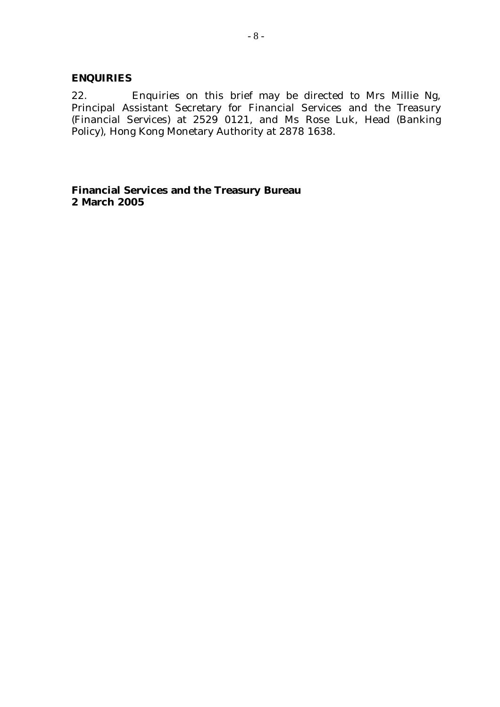## **ENQUIRIES**

22. Enquiries on this brief may be directed to Mrs Millie Ng, Principal Assistant Secretary for Financial Services and the Treasury (Financial Services) at 2529 0121, and Ms Rose Luk, Head (Banking Policy), Hong Kong Monetary Authority at 2878 1638.

**Financial Services and the Treasury Bureau 2 March 2005**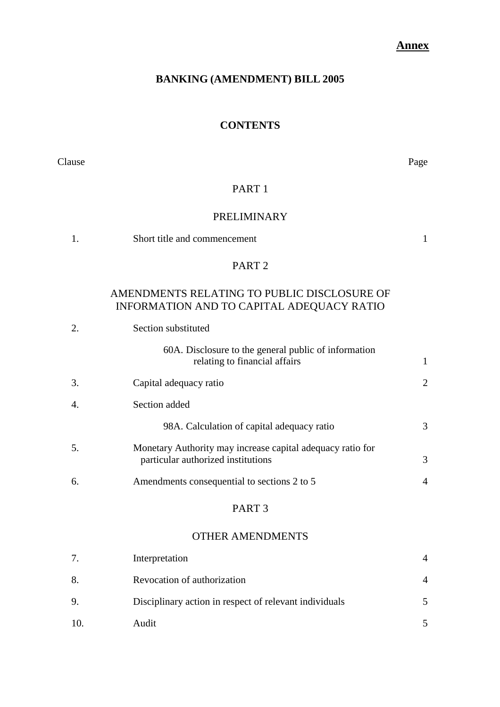# **Annex**

# **BANKING (AMENDMENT) BILL 2005**

# **CONTENTS**

Clause Page

# PART 1

# PRELIMINARY

| 1. | Short title and commencement                                                                     | 1              |
|----|--------------------------------------------------------------------------------------------------|----------------|
|    | PART <sub>2</sub>                                                                                |                |
|    | AMENDMENTS RELATING TO PUBLIC DISCLOSURE OF<br>INFORMATION AND TO CAPITAL ADEQUACY RATIO         |                |
| 2. | Section substituted                                                                              |                |
|    | 60A. Disclosure to the general public of information<br>relating to financial affairs            | 1              |
| 3. | Capital adequacy ratio                                                                           | 2              |
| 4. | Section added                                                                                    |                |
|    | 98A. Calculation of capital adequacy ratio                                                       | 3              |
| 5. | Monetary Authority may increase capital adequacy ratio for<br>particular authorized institutions | 3              |
| 6. | Amendments consequential to sections 2 to 5                                                      | $\overline{A}$ |
|    | PART <sub>3</sub>                                                                                |                |

# OTHER AMENDMENTS

|     | Interpretation                                         |  |
|-----|--------------------------------------------------------|--|
| 8.  | Revocation of authorization                            |  |
| 9.  | Disciplinary action in respect of relevant individuals |  |
| 10. | Audit                                                  |  |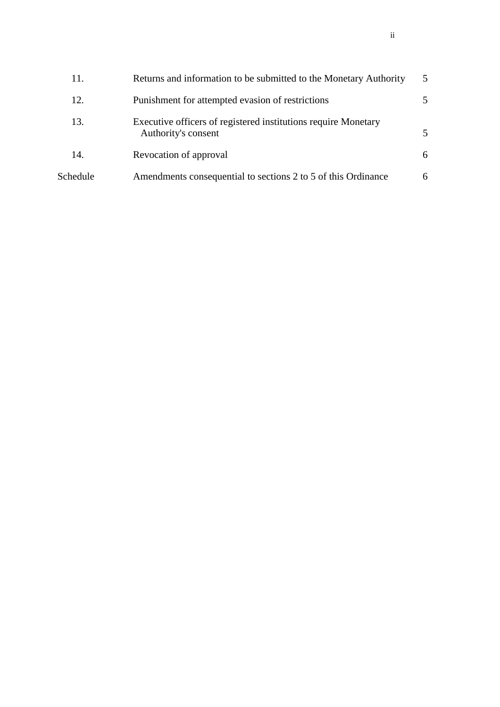| 11.      | Returns and information to be submitted to the Monetary Authority                     | 5  |
|----------|---------------------------------------------------------------------------------------|----|
| 12.      | Punishment for attempted evasion of restrictions                                      | 5. |
| 13.      | Executive officers of registered institutions require Monetary<br>Authority's consent | 5  |
| 14.      | Revocation of approval                                                                | 6  |
| Schedule | Amendments consequential to sections 2 to 5 of this Ordinance                         | 6  |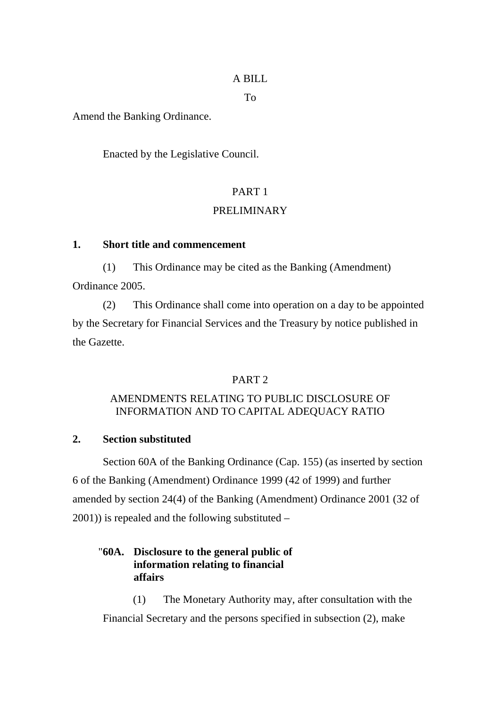# A BILL

To

Amend the Banking Ordinance.

Enacted by the Legislative Council.

# PART 1

# PRELIMINARY

# **1. Short title and commencement**

(1) This Ordinance may be cited as the Banking (Amendment) Ordinance 2005.

(2) This Ordinance shall come into operation on a day to be appointed by the Secretary for Financial Services and the Treasury by notice published in the Gazette.

# PART<sub>2</sub>

# AMENDMENTS RELATING TO PUBLIC DISCLOSURE OF INFORMATION AND TO CAPITAL ADEQUACY RATIO

# **2. Section substituted**

 Section 60A of the Banking Ordinance (Cap. 155) (as inserted by section 6 of the Banking (Amendment) Ordinance 1999 (42 of 1999) and further amended by section 24(4) of the Banking (Amendment) Ordinance 2001 (32 of 2001)) is repealed and the following substituted –

# "**60A. Disclosure to the general public of information relating to financial affairs**

(1) The Monetary Authority may, after consultation with the Financial Secretary and the persons specified in subsection (2), make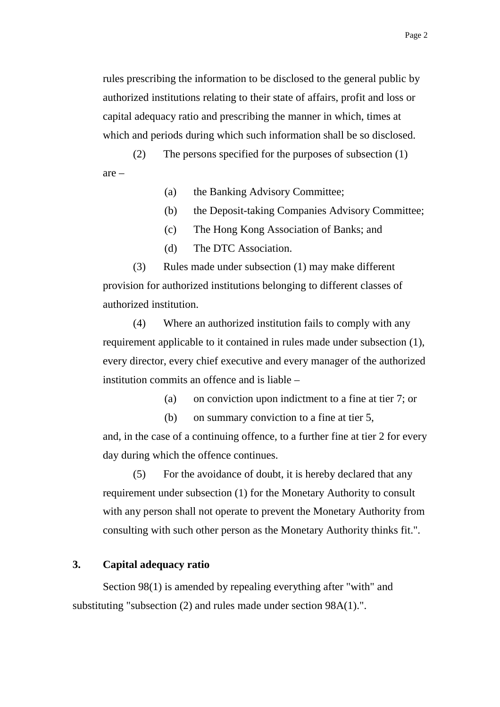rules prescribing the information to be disclosed to the general public by authorized institutions relating to their state of affairs, profit and loss or capital adequacy ratio and prescribing the manner in which, times at which and periods during which such information shall be so disclosed.

(2) The persons specified for the purposes of subsection (1) are –

(a) the Banking Advisory Committee;

- (b) the Deposit-taking Companies Advisory Committee;
- (c) The Hong Kong Association of Banks; and
- (d) The DTC Association.

(3) Rules made under subsection (1) may make different provision for authorized institutions belonging to different classes of authorized institution.

(4) Where an authorized institution fails to comply with any requirement applicable to it contained in rules made under subsection (1), every director, every chief executive and every manager of the authorized institution commits an offence and is liable –

(a) on conviction upon indictment to a fine at tier 7; or

(b) on summary conviction to a fine at tier 5, and, in the case of a continuing offence, to a further fine at tier 2 for every day during which the offence continues.

(5) For the avoidance of doubt, it is hereby declared that any requirement under subsection (1) for the Monetary Authority to consult with any person shall not operate to prevent the Monetary Authority from consulting with such other person as the Monetary Authority thinks fit.".

## **3. Capital adequacy ratio**

 Section 98(1) is amended by repealing everything after "with" and substituting "subsection (2) and rules made under section 98A(1).".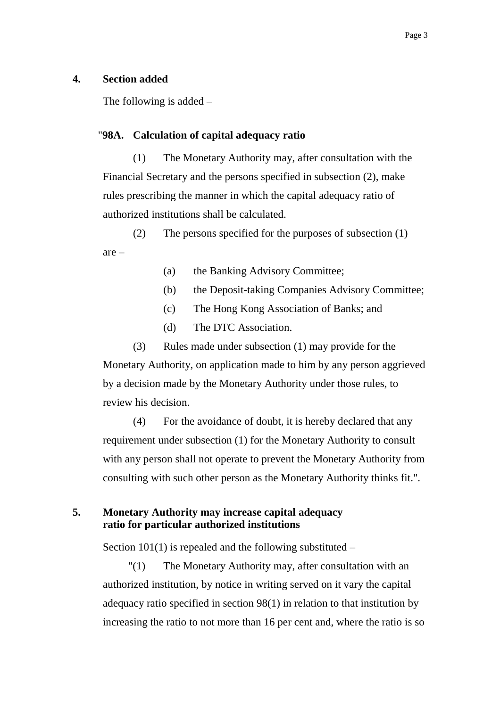#### **4. Section added**

The following is added –

#### "**98A. Calculation of capital adequacy ratio**

(1) The Monetary Authority may, after consultation with the Financial Secretary and the persons specified in subsection (2), make rules prescribing the manner in which the capital adequacy ratio of authorized institutions shall be calculated.

(2) The persons specified for the purposes of subsection (1) are –

- (a) the Banking Advisory Committee;
- (b) the Deposit-taking Companies Advisory Committee;
- (c) The Hong Kong Association of Banks; and
- (d) The DTC Association.

(3) Rules made under subsection (1) may provide for the Monetary Authority, on application made to him by any person aggrieved by a decision made by the Monetary Authority under those rules, to review his decision.

(4) For the avoidance of doubt, it is hereby declared that any requirement under subsection (1) for the Monetary Authority to consult with any person shall not operate to prevent the Monetary Authority from consulting with such other person as the Monetary Authority thinks fit.".

# **5. Monetary Authority may increase capital adequacy ratio for particular authorized institutions**

Section  $101(1)$  is repealed and the following substituted –

 "(1) The Monetary Authority may, after consultation with an authorized institution, by notice in writing served on it vary the capital adequacy ratio specified in section 98(1) in relation to that institution by increasing the ratio to not more than 16 per cent and, where the ratio is so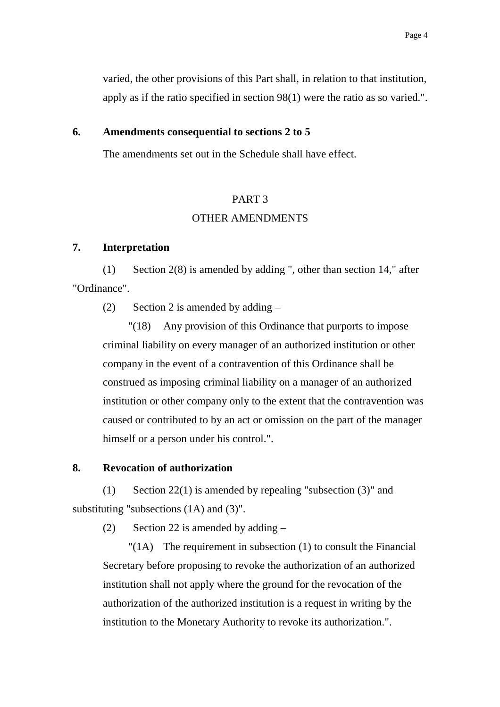varied, the other provisions of this Part shall, in relation to that institution, apply as if the ratio specified in section 98(1) were the ratio as so varied.".

#### **6. Amendments consequential to sections 2 to 5**

The amendments set out in the Schedule shall have effect.

#### PART 3

## OTHER AMENDMENTS

## **7. Interpretation**

(1) Section 2(8) is amended by adding ", other than section 14," after "Ordinance".

(2) Section 2 is amended by adding  $-$ 

 "(18) Any provision of this Ordinance that purports to impose criminal liability on every manager of an authorized institution or other company in the event of a contravention of this Ordinance shall be construed as imposing criminal liability on a manager of an authorized institution or other company only to the extent that the contravention was caused or contributed to by an act or omission on the part of the manager himself or a person under his control.".

#### **8. Revocation of authorization**

(1) Section  $22(1)$  is amended by repealing "subsection  $(3)$ " and substituting "subsections (1A) and (3)".

(2) Section 22 is amended by adding –

 "(1A) The requirement in subsection (1) to consult the Financial Secretary before proposing to revoke the authorization of an authorized institution shall not apply where the ground for the revocation of the authorization of the authorized institution is a request in writing by the institution to the Monetary Authority to revoke its authorization.".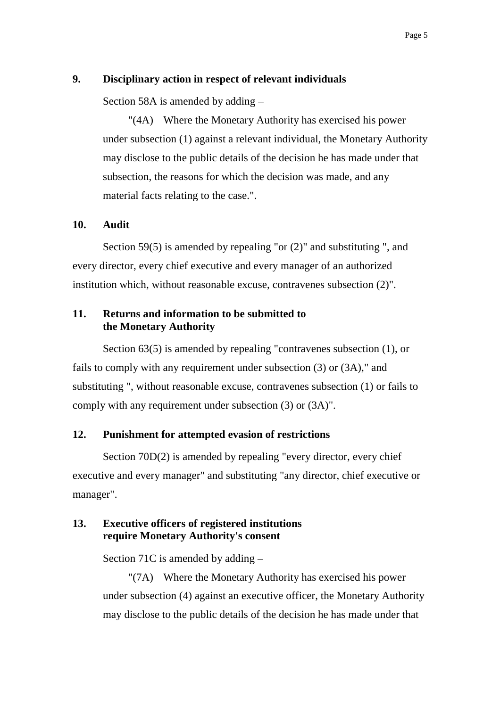#### **9. Disciplinary action in respect of relevant individuals**

Section 58A is amended by adding –

 "(4A) Where the Monetary Authority has exercised his power under subsection (1) against a relevant individual, the Monetary Authority may disclose to the public details of the decision he has made under that subsection, the reasons for which the decision was made, and any material facts relating to the case.".

#### **10. Audit**

 Section 59(5) is amended by repealing "or (2)" and substituting ", and every director, every chief executive and every manager of an authorized institution which, without reasonable excuse, contravenes subsection (2)".

## **11. Returns and information to be submitted to the Monetary Authority**

 Section 63(5) is amended by repealing "contravenes subsection (1), or fails to comply with any requirement under subsection (3) or (3A)," and substituting ", without reasonable excuse, contravenes subsection (1) or fails to comply with any requirement under subsection (3) or (3A)".

#### **12. Punishment for attempted evasion of restrictions**

Section 70D(2) is amended by repealing "every director, every chief executive and every manager" and substituting "any director, chief executive or manager".

## **13. Executive officers of registered institutions require Monetary Authority's consent**

Section 71C is amended by adding –

 "(7A) Where the Monetary Authority has exercised his power under subsection (4) against an executive officer, the Monetary Authority may disclose to the public details of the decision he has made under that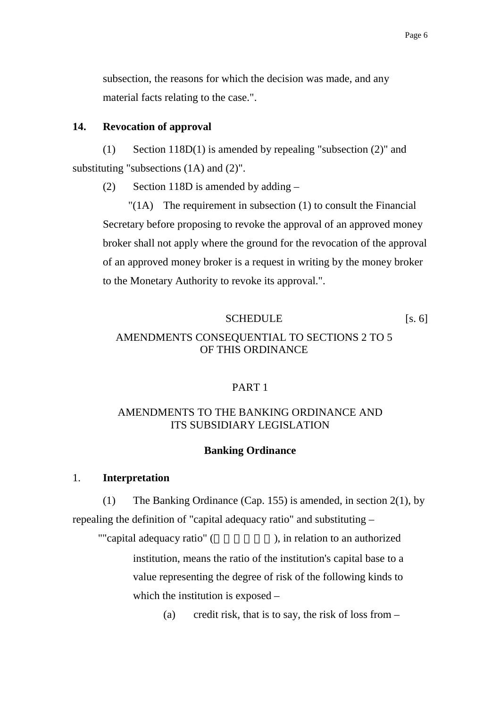subsection, the reasons for which the decision was made, and any material facts relating to the case.".

#### **14. Revocation of approval**

(1) Section 118D(1) is amended by repealing "subsection (2)" and substituting "subsections  $(1A)$  and  $(2)$ ".

(2) Section 118D is amended by adding  $-$ 

 "(1A) The requirement in subsection (1) to consult the Financial Secretary before proposing to revoke the approval of an approved money broker shall not apply where the ground for the revocation of the approval of an approved money broker is a request in writing by the money broker to the Monetary Authority to revoke its approval.".

#### SCHEDULE [s. 6]

# AMENDMENTS CONSEQUENTIAL TO SECTIONS 2 TO 5 OF THIS ORDINANCE

#### PART 1

## AMENDMENTS TO THE BANKING ORDINANCE AND ITS SUBSIDIARY LEGISLATION

#### **Banking Ordinance**

#### 1. **Interpretation**

(1) The Banking Ordinance (Cap. 155) is amended, in section 2(1), by repealing the definition of "capital adequacy ratio" and substituting –

""capital adequacy ratio" ( $\qquad \qquad$ ), in relation to an authorized institution, means the ratio of the institution's capital base to a value representing the degree of risk of the following kinds to which the institution is exposed –

(a) credit risk, that is to say, the risk of loss from  $-$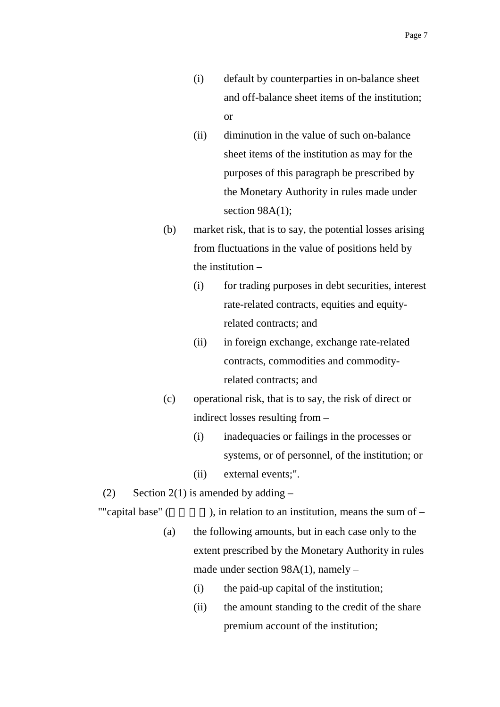- (i) default by counterparties in on-balance sheet and off-balance sheet items of the institution; or
- (ii) diminution in the value of such on-balance sheet items of the institution as may for the purposes of this paragraph be prescribed by the Monetary Authority in rules made under section 98A(1);
- (b) market risk, that is to say, the potential losses arising from fluctuations in the value of positions held by the institution –
	- (i) for trading purposes in debt securities, interest rate-related contracts, equities and equityrelated contracts; and
	- (ii) in foreign exchange, exchange rate-related contracts, commodities and commodityrelated contracts; and
- (c) operational risk, that is to say, the risk of direct or indirect losses resulting from –
	- (i) inadequacies or failings in the processes or systems, or of personnel, of the institution; or
	- (ii) external events;".
- (2) Section 2(1) is amended by adding  $-$
- 

""capital base" ( $\qquad \qquad$ ), in relation to an institution, means the sum of –

- (a) the following amounts, but in each case only to the extent prescribed by the Monetary Authority in rules made under section 98A(1), namely –
	- (i) the paid-up capital of the institution;
	- (ii) the amount standing to the credit of the share premium account of the institution;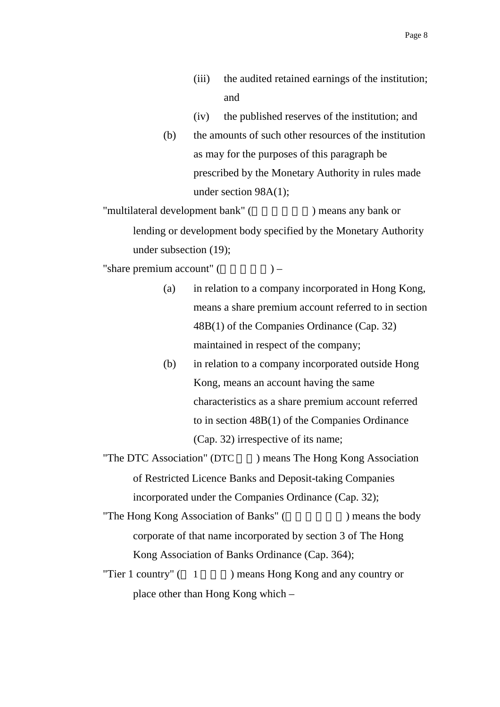- (iii) the audited retained earnings of the institution; and
- (iv) the published reserves of the institution; and
- (b) the amounts of such other resources of the institution as may for the purposes of this paragraph be prescribed by the Monetary Authority in rules made under section 98A(1);

"multilateral development bank" (
but in the propose of  $\sum_{n=1}^{\infty}$  means any bank or lending or development body specified by the Monetary Authority under subsection (19);

"share premium account"  $($ ) –

- (a) in relation to a company incorporated in Hong Kong, means a share premium account referred to in section 48B(1) of the Companies Ordinance (Cap. 32) maintained in respect of the company;
- (b) in relation to a company incorporated outside Hong Kong, means an account having the same characteristics as a share premium account referred to in section 48B(1) of the Companies Ordinance (Cap. 32) irrespective of its name;
- "The DTC Association" (DTC  $\qquad$  ) means The Hong Kong Association of Restricted Licence Banks and Deposit-taking Companies incorporated under the Companies Ordinance (Cap. 32);

"The Hong Kong Association of Banks" (Shape 1) means the body corporate of that name incorporated by section 3 of The Hong Kong Association of Banks Ordinance (Cap. 364);

"Tier 1 country"  $(1 \t )$  means Hong Kong and any country or place other than Hong Kong which –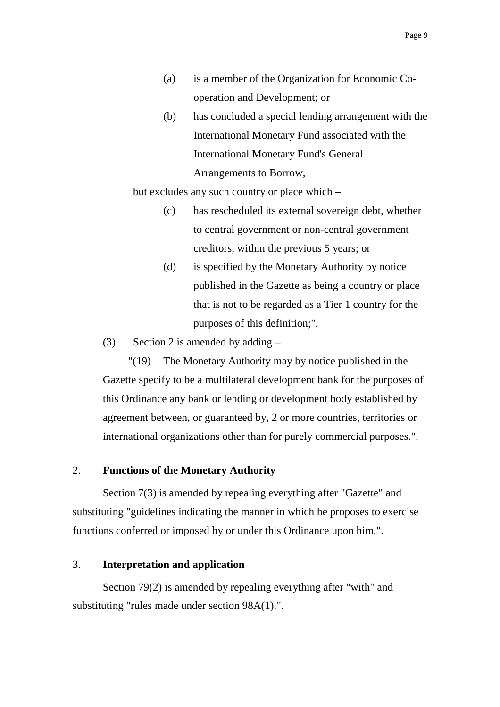- (a) is a member of the Organization for Economic Cooperation and Development; or
- (b) has concluded a special lending arrangement with the International Monetary Fund associated with the International Monetary Fund's General Arrangements to Borrow,

but excludes any such country or place which –

- (c) has rescheduled its external sovereign debt, whether to central government or non-central government creditors, within the previous 5 years; or
- (d) is specified by the Monetary Authority by notice published in the Gazette as being a country or place that is not to be regarded as a Tier 1 country for the purposes of this definition;".
- (3) Section 2 is amended by adding  $-$

 "(19) The Monetary Authority may by notice published in the Gazette specify to be a multilateral development bank for the purposes of this Ordinance any bank or lending or development body established by agreement between, or guaranteed by, 2 or more countries, territories or international organizations other than for purely commercial purposes.".

## 2. **Functions of the Monetary Authority**

Section 7(3) is amended by repealing everything after "Gazette" and substituting "guidelines indicating the manner in which he proposes to exercise functions conferred or imposed by or under this Ordinance upon him.".

## 3. **Interpretation and application**

Section 79(2) is amended by repealing everything after "with" and substituting "rules made under section 98A(1).".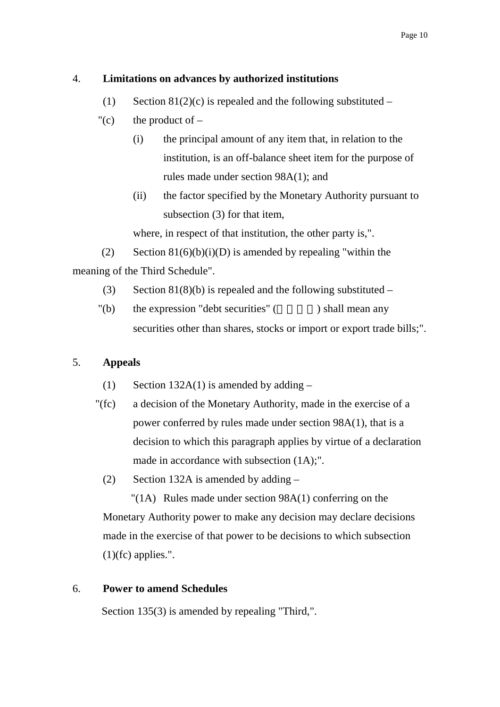#### 4. **Limitations on advances by authorized institutions**

- (1) Section  $81(2)(c)$  is repealed and the following substituted –
- "(c) the product of  $-$ 
	- (i) the principal amount of any item that, in relation to the institution, is an off-balance sheet item for the purpose of rules made under section 98A(1); and
	- (ii) the factor specified by the Monetary Authority pursuant to subsection (3) for that item,

where, in respect of that institution, the other party is,".

(2) Section  $81(6)(b)(i)(D)$  is amended by repealing "within the meaning of the Third Schedule".

- (3) Section 81(8)(b) is repealed and the following substituted –
- $"$ (b) the expression "debt securities" ( $\qquad \qquad$ ) shall mean any securities other than shares, stocks or import or export trade bills;".

## 5. **Appeals**

- (1) Section 132A(1) is amended by adding  $-$
- "(fc) a decision of the Monetary Authority, made in the exercise of a power conferred by rules made under section 98A(1), that is a decision to which this paragraph applies by virtue of a declaration made in accordance with subsection (1A);".
	- (2) Section 132A is amended by adding –

"(1A) Rules made under section 98A(1) conferring on the Monetary Authority power to make any decision may declare decisions made in the exercise of that power to be decisions to which subsection  $(1)(fc)$  applies.".

## 6. **Power to amend Schedules**

Section 135(3) is amended by repealing "Third,".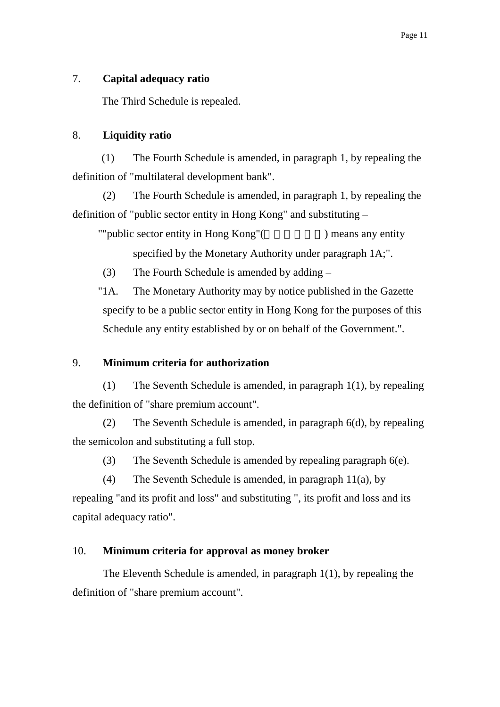## 7. **Capital adequacy ratio**

The Third Schedule is repealed.

#### 8. **Liquidity ratio**

(1) The Fourth Schedule is amended, in paragraph 1, by repealing the definition of "multilateral development bank".

(2) The Fourth Schedule is amended, in paragraph 1, by repealing the definition of "public sector entity in Hong Kong" and substituting –

""public sector entity in Hong Kong"(and ) means any entity specified by the Monetary Authority under paragraph 1A;".

(3) The Fourth Schedule is amended by adding –

 "1A. The Monetary Authority may by notice published in the Gazette specify to be a public sector entity in Hong Kong for the purposes of this Schedule any entity established by or on behalf of the Government.".

## 9. **Minimum criteria for authorization**

(1) The Seventh Schedule is amended, in paragraph 1(1), by repealing the definition of "share premium account".

(2) The Seventh Schedule is amended, in paragraph 6(d), by repealing the semicolon and substituting a full stop.

(3) The Seventh Schedule is amended by repealing paragraph 6(e).

(4) The Seventh Schedule is amended, in paragraph 11(a), by repealing "and its profit and loss" and substituting ", its profit and loss and its capital adequacy ratio".

#### 10. **Minimum criteria for approval as money broker**

The Eleventh Schedule is amended, in paragraph 1(1), by repealing the definition of "share premium account".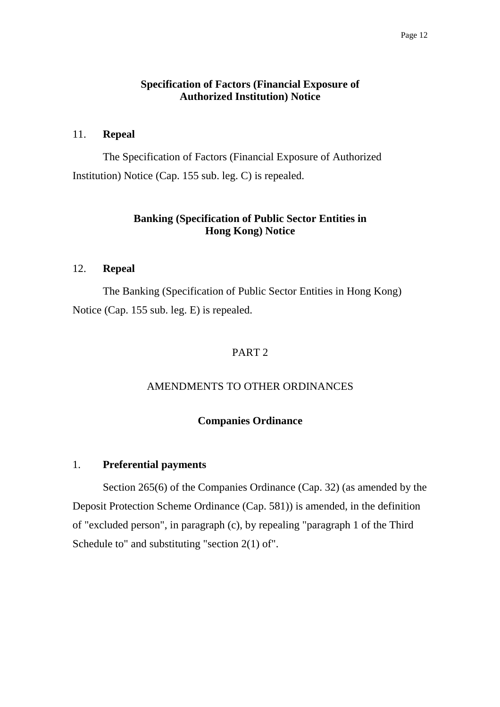## **Specification of Factors (Financial Exposure of Authorized Institution) Notice**

#### 11. **Repeal**

The Specification of Factors (Financial Exposure of Authorized Institution) Notice (Cap. 155 sub. leg. C) is repealed.

# **Banking (Specification of Public Sector Entities in Hong Kong) Notice**

## 12. **Repeal**

The Banking (Specification of Public Sector Entities in Hong Kong) Notice (Cap. 155 sub. leg. E) is repealed.

# PART 2

## AMENDMENTS TO OTHER ORDINANCES

## **Companies Ordinance**

#### 1. **Preferential payments**

Section 265(6) of the Companies Ordinance (Cap. 32) (as amended by the Deposit Protection Scheme Ordinance (Cap. 581)) is amended, in the definition of "excluded person", in paragraph (c), by repealing "paragraph 1 of the Third Schedule to" and substituting "section 2(1) of".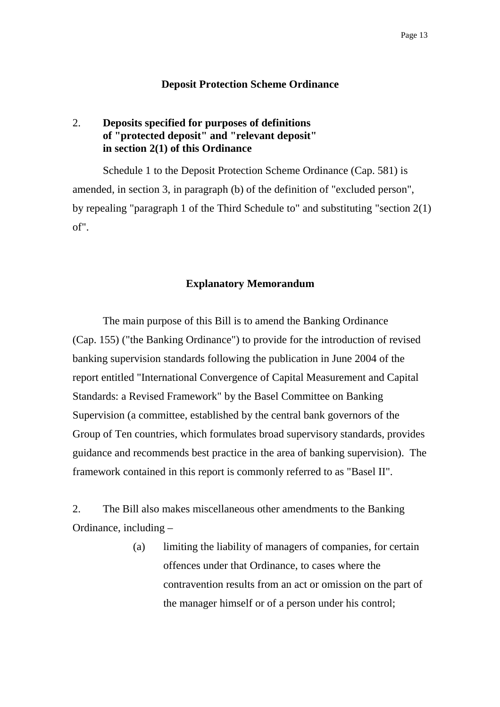#### **Deposit Protection Scheme Ordinance**

# 2. **Deposits specified for purposes of definitions of "protected deposit" and "relevant deposit" in section 2(1) of this Ordinance**

Schedule 1 to the Deposit Protection Scheme Ordinance (Cap. 581) is amended, in section 3, in paragraph (b) of the definition of "excluded person", by repealing "paragraph 1 of the Third Schedule to" and substituting "section 2(1) of".

#### **Explanatory Memorandum**

 The main purpose of this Bill is to amend the Banking Ordinance (Cap. 155) ("the Banking Ordinance") to provide for the introduction of revised banking supervision standards following the publication in June 2004 of the report entitled "International Convergence of Capital Measurement and Capital Standards: a Revised Framework" by the Basel Committee on Banking Supervision (a committee, established by the central bank governors of the Group of Ten countries, which formulates broad supervisory standards, provides guidance and recommends best practice in the area of banking supervision). The framework contained in this report is commonly referred to as "Basel II".

2. The Bill also makes miscellaneous other amendments to the Banking Ordinance, including –

> (a) limiting the liability of managers of companies, for certain offences under that Ordinance, to cases where the contravention results from an act or omission on the part of the manager himself or of a person under his control;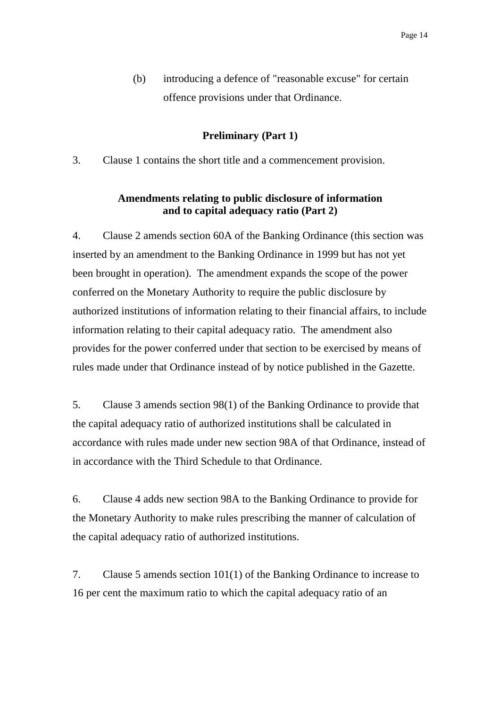(b) introducing a defence of "reasonable excuse" for certain offence provisions under that Ordinance.

#### **Preliminary (Part 1)**

3. Clause 1 contains the short title and a commencement provision.

## **Amendments relating to public disclosure of information and to capital adequacy ratio (Part 2)**

4. Clause 2 amends section 60A of the Banking Ordinance (this section was inserted by an amendment to the Banking Ordinance in 1999 but has not yet been brought in operation). The amendment expands the scope of the power conferred on the Monetary Authority to require the public disclosure by authorized institutions of information relating to their financial affairs, to include information relating to their capital adequacy ratio. The amendment also provides for the power conferred under that section to be exercised by means of rules made under that Ordinance instead of by notice published in the Gazette.

5. Clause 3 amends section 98(1) of the Banking Ordinance to provide that the capital adequacy ratio of authorized institutions shall be calculated in accordance with rules made under new section 98A of that Ordinance, instead of in accordance with the Third Schedule to that Ordinance.

6. Clause 4 adds new section 98A to the Banking Ordinance to provide for the Monetary Authority to make rules prescribing the manner of calculation of the capital adequacy ratio of authorized institutions.

7. Clause 5 amends section 101(1) of the Banking Ordinance to increase to 16 per cent the maximum ratio to which the capital adequacy ratio of an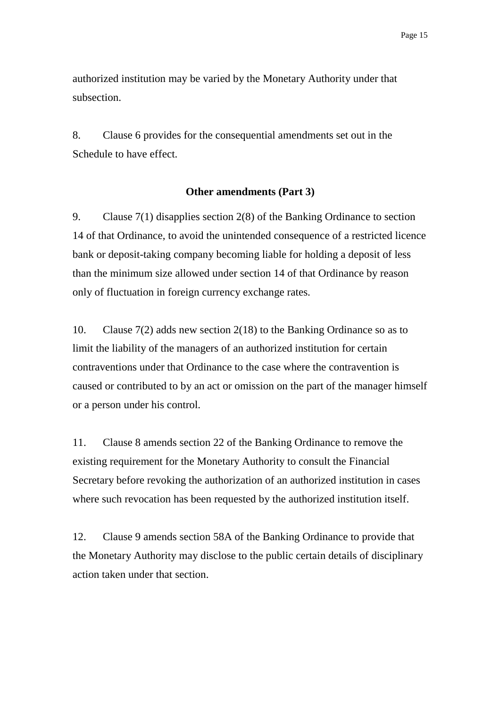authorized institution may be varied by the Monetary Authority under that subsection.

8. Clause 6 provides for the consequential amendments set out in the Schedule to have effect.

#### **Other amendments (Part 3)**

9. Clause 7(1) disapplies section 2(8) of the Banking Ordinance to section 14 of that Ordinance, to avoid the unintended consequence of a restricted licence bank or deposit-taking company becoming liable for holding a deposit of less than the minimum size allowed under section 14 of that Ordinance by reason only of fluctuation in foreign currency exchange rates.

10. Clause 7(2) adds new section 2(18) to the Banking Ordinance so as to limit the liability of the managers of an authorized institution for certain contraventions under that Ordinance to the case where the contravention is caused or contributed to by an act or omission on the part of the manager himself or a person under his control.

11. Clause 8 amends section 22 of the Banking Ordinance to remove the existing requirement for the Monetary Authority to consult the Financial Secretary before revoking the authorization of an authorized institution in cases where such revocation has been requested by the authorized institution itself.

12. Clause 9 amends section 58A of the Banking Ordinance to provide that the Monetary Authority may disclose to the public certain details of disciplinary action taken under that section.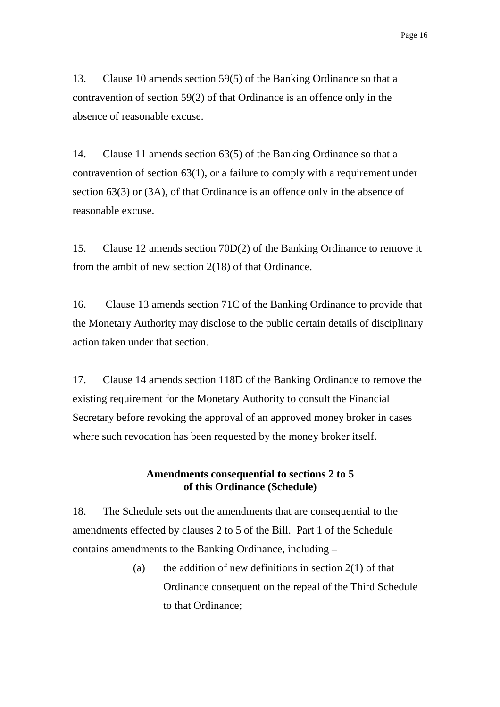13. Clause 10 amends section 59(5) of the Banking Ordinance so that a contravention of section 59(2) of that Ordinance is an offence only in the absence of reasonable excuse.

14. Clause 11 amends section 63(5) of the Banking Ordinance so that a contravention of section 63(1), or a failure to comply with a requirement under section 63(3) or (3A), of that Ordinance is an offence only in the absence of reasonable excuse.

15. Clause 12 amends section 70D(2) of the Banking Ordinance to remove it from the ambit of new section 2(18) of that Ordinance.

16. Clause 13 amends section 71C of the Banking Ordinance to provide that the Monetary Authority may disclose to the public certain details of disciplinary action taken under that section.

17. Clause 14 amends section 118D of the Banking Ordinance to remove the existing requirement for the Monetary Authority to consult the Financial Secretary before revoking the approval of an approved money broker in cases where such revocation has been requested by the money broker itself.

## **Amendments consequential to sections 2 to 5 of this Ordinance (Schedule)**

18. The Schedule sets out the amendments that are consequential to the amendments effected by clauses 2 to 5 of the Bill. Part 1 of the Schedule contains amendments to the Banking Ordinance, including –

> (a) the addition of new definitions in section  $2(1)$  of that Ordinance consequent on the repeal of the Third Schedule to that Ordinance;